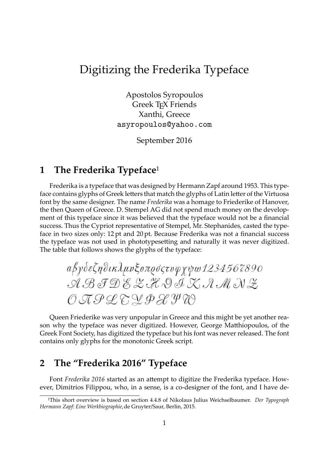## Digitizing the Frederika Typeface

Apostolos Syropoulos Greek TEX Friends Xanthi, Greece asyropoulos@yahoo.com

September 2016

## **1** The Frederika Typeface<sup>1</sup>

Frederika is a typeface that was designed by Hermann Zapf around 1953. This typeface contains glyphs of Greek letters that match the glyphs of Latin letter of the Virtuosa font by the same designer. The name *Frederika* was a homage to Friederike of Hanover, the then Queen of Greece. D. Stempel AG did not spend much money on the development of this typeface since it was believed that the typeface would not be a financial success. Thus the Cypriot representative of Stempel, Mr. Stephanides, casted the typeface in two sizes only: 12 pt and 20 pt. Because Frederika was not a financial success the typeface was not used in phototypesetting and naturally it was never digitized. The table that follows shows the glyphs of the typeface:

αβγδεζηθικλμνξοπρόςτυφχψω1234567890 ABJDEZHQIXAMNZ OAPLEYDLYW

Queen Friederike was very unpopular in Greece and this might be yet another reason why the typeface was never digitized. However, George Matthiopoulos, of the Greek Font Society, has digitized the typeface but his font was never released. The font contains only glyphs for the monotonic Greek script.

## **2 The "Frederika 2016" Typeface**

Font *Frederika* 2016 started as an attempt to digitize the Frederika typeface. However, Dimitrios Filippou, who, in a sense, is a co-designer of the font, and I have de-

¹This short overview is based on section 4.4.8 of Nikolaus Julius Weichselbaumer. *Der Typograph Hermann Zapf: Eine Werkbiographie*,de Gruyter/Saur, Berlin, 2015.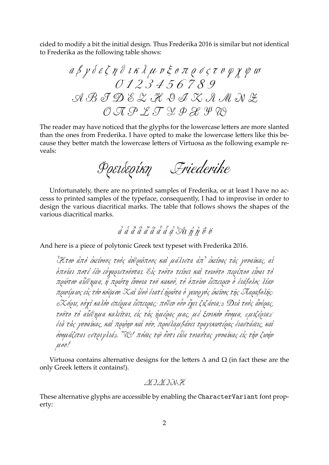cided to modify a bit the initial design. Thus Frederika 2016 is similar but not identical to Frederika as the following table shows:

$$
a \beta \gamma \delta \epsilon \zeta \eta \partial \iota \kappa \lambda \mu \nu \xi \sigma \pi \rho \delta \zeta \tau \nu \varphi \chi \psi \omega
$$
  
\n
$$
0123456789
$$
  
\n
$$
A \mathcal{B} \mathcal{F} \mathcal{D} \mathcal{E} \mathcal{L} \mathcal{H} \mathcal{D} \mathcal{I} \mathcal{K} \mathcal{A} \mathcal{M} \mathcal{N} \mathcal{Z}
$$
  
\n
$$
0 \mathcal{A} \mathcal{P} \mathcal{L} \mathcal{T} \mathcal{L} \mathcal{P} \mathcal{B} \mathcal{Y} \mathcal{D}
$$

The reader may have noticed that the glyphs for the lowercase letters are more slanted than the ones from Frederika. I have opted to make the lowercase letters like this because they better match the lowercase letters of Virtuosa as the following example reveals:

Portbeoirn Friederike

Unfortunately, there are no printed samples of Frederika, or at least I have no accesss to printed samples of the typeface, consequently, I had to improvise in order to design the various diacritical marks. The table that follows shows the shapes of the various diacritical marks.

*ἀ ά ἂ ἃ ἆ ἅ ἆ ἆ ₫ 3* Δι ή η ΰ ΰ

And here is a piece of polytonic Greek text typeset with Frederika 2016.

*Ἦτον ἀπὸ ἐκείνους τοὺς ἀνθρώπους καὶ μάλιστα ἀπ᾽ ἐκείνας τὰς γυναῖκας, αἱ ὁποῖαι ποτὲ δὲν εὐχαριστοῦνται. Εἰς τοῦτο τείνει καὶ τοιοῦτο περίπου εἶναι τὸ πρῶτον αἴσθημα, ἡ πρώτη ἔννοια τοῦ κακοῦ, τὸ ὁποῖον ἔσπειρεν ὁ διάβολος λίαν πρωίμως εἰς τὸν κόσμον. Καὶ ἰδοὺ διατί ἠρώτα ὁ γεωργὸς ἐκεῖνος τῆς Παραβολῆς: «Κύριε, οὐχὶ καλὸν σπέρμα ἔσπειρας; πόθεν οὖν ἔχει ζιζάνια;» Διὰ τοὺς ἄνδρας, τοῦτο τὸ αἴσθημα καλεῖται, εἰς τὰς ἡμέρας μας, μὲ ξενικὸν ὄνομα, «μιζέρια»· διὰ τὰς γυναῖκας, καὶ πρῴην καὶ νῦν, προσλαμβάνει τραγικωτέρας διαστάσεις, καὶ ὀνομάζεται «στριγλιά». Ὤ! πόσας τῷ ὄντι εἶδα τοιαύτας γυναῖκας εἰς τὴν ζωήν μου!*

Virtuosa contains alternative designs for the letters  $\Delta$  and  $\Omega$  (in fact these are the only Greek letters it contains!).

*ΔΩΔΩΝΗ*

These alternative glyphs are accessible by enabling the CharacterVariant font property: